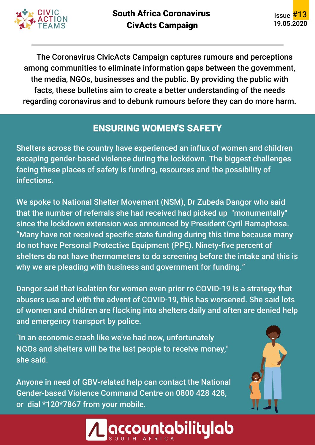

The Coronavirus CivicActs Campaign captures rumours and perceptions among communities to eliminate information gaps between the government, the media, NGOs, businesses and the public. By providing the public with facts, these bulletins aim to create a better understanding of the needs regarding coronavirus and to debunk rumours before they can do more harm.

#### ENSURING WOMEN'S SAFETY

Shelters across the country have experienced an influx of women and children escaping gender-based violence during the lockdown. The biggest challenges facing these places of safety is funding, resources and the possibility of infections.

We spoke to National Shelter Movement (NSM), Dr Zubeda Dangor who said that the number of referrals she had received had picked up "monumentally" since the lockdown extension was announced by President Cyril Ramaphosa. "Many have not received specific state funding during this time because many do not have Personal Protective Equipment (PPE). Ninety-five percent of shelters do not have thermometers to do screening before the intake and this is why we are pleading with business and government for funding."

Dangor said that isolation for women even prior ro COVID-19 is a strategy that abusers use and with the advent of COVID-19, this has worsened. She said lots of women and children are flocking into shelters daily and often are denied help and emergency transport by police.

"In an economic crash like we've had now, unfortunately NGOs and shelters will be the last people to receive money," she said.

Anyone in need of GBV-related help can contact the National Gender-based Violence Command Centre on 0800 428 428, or dial \*120\*7867 from your mobile.



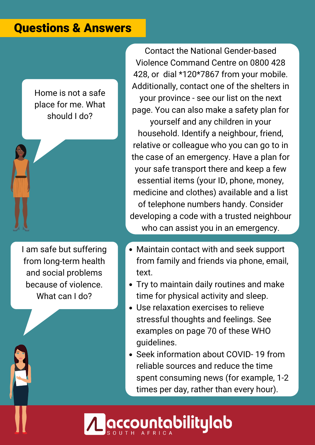#### Questions & Answers

Home is not a safe place for me. What should I do?

I am safe but suffering from long-term health and social problems because of violence. What can I do?

Contact the National Gender-based Violence Command Centre on 0800 428 428, or dial \*120\*7867 from your mobile. Additionally, contact one of the shelters in your province - see our list on the next page. You can also make a safety plan for yourself and any children in your household. Identify a neighbour, friend, relative or colleague who you can go to in the case of an emergency. Have a plan for your safe transport there and keep a few essential items (your ID, phone, money, medicine and clothes) available and a list of telephone numbers handy. Consider developing a code with a trusted neighbour who can assist you in an emergency.

- Maintain contact with and seek support from family and friends via phone, email, text.
- Try to maintain daily routines and make time for physical activity and sleep.
- Use relaxation exercises to relieve stressful thoughts and feelings. See examples on page 70 of these WHO guidelines.
- Seek information about COVID-19 from reliable sources and reduce the time spent consuming news (for example, 1-2 times per day, rather than every hour).

**countabilitylab:**